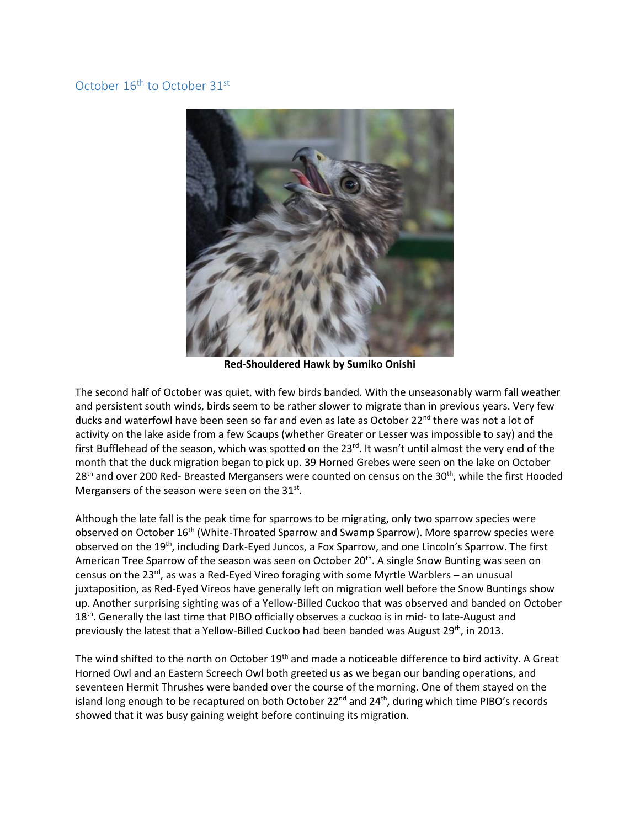## October 16<sup>th</sup> to October 31<sup>st</sup>



**Red-Shouldered Hawk by Sumiko Onishi** 

The second half of October was quiet, with few birds banded. With the unseasonably warm fall weather and persistent south winds, birds seem to be rather slower to migrate than in previous years. Very few ducks and waterfowl have been seen so far and even as late as October 22<sup>nd</sup> there was not a lot of activity on the lake aside from a few Scaups (whether Greater or Lesser was impossible to say) and the first Bufflehead of the season, which was spotted on the 23<sup>rd</sup>. It wasn't until almost the very end of the month that the duck migration began to pick up. 39 Horned Grebes were seen on the lake on October  $28<sup>th</sup>$  and over 200 Red- Breasted Mergansers were counted on census on the 30<sup>th</sup>, while the first Hooded Mergansers of the season were seen on the  $31^{st}$ .

Although the late fall is the peak time for sparrows to be migrating, only two sparrow species were observed on October 16th (White-Throated Sparrow and Swamp Sparrow). More sparrow species were observed on the 19<sup>th</sup>, including Dark-Eyed Juncos, a Fox Sparrow, and one Lincoln's Sparrow. The first American Tree Sparrow of the season was seen on October 20<sup>th</sup>. A single Snow Bunting was seen on census on the 23 $^{rd}$ , as was a Red-Eyed Vireo foraging with some Myrtle Warblers – an unusual juxtaposition, as Red-Eyed Vireos have generally left on migration well before the Snow Buntings show up. Another surprising sighting was of a Yellow-Billed Cuckoo that was observed and banded on October 18<sup>th</sup>. Generally the last time that PIBO officially observes a cuckoo is in mid- to late-August and previously the latest that a Yellow-Billed Cuckoo had been banded was August 29<sup>th</sup>, in 2013.

The wind shifted to the north on October 19<sup>th</sup> and made a noticeable difference to bird activity. A Great Horned Owl and an Eastern Screech Owl both greeted us as we began our banding operations, and seventeen Hermit Thrushes were banded over the course of the morning. One of them stayed on the island long enough to be recaptured on both October  $22^{nd}$  and  $24^{th}$ , during which time PIBO's records showed that it was busy gaining weight before continuing its migration.